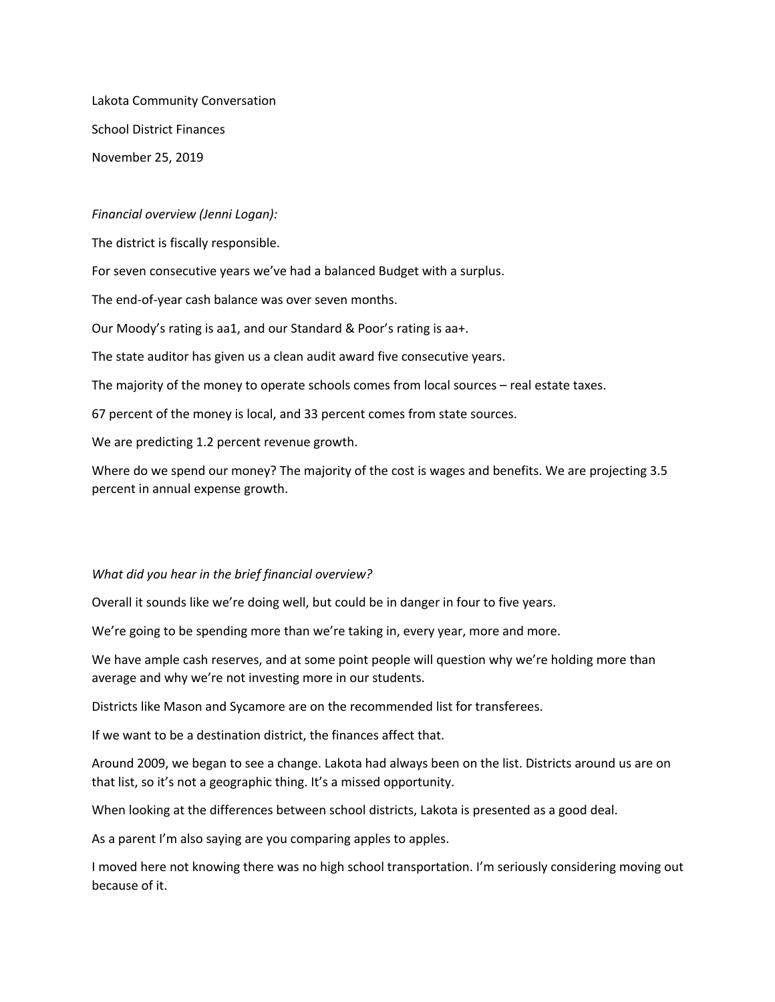Lakota Community Conversation School District Finances November 25, 2019

## *Financial overview (Jenni Logan):*

The district is fiscally responsible.

For seven consecutive years we've had a balanced Budget with a surplus.

The end-of-year cash balance was over seven months.

Our Moody's rating is aa1, and our Standard & Poor's rating is aa+.

The state auditor has given us a clean audit award five consecutive years.

The majority of the money to operate schools comes from local sources – real estate taxes.

67 percent of the money is local, and 33 percent comes from state sources.

We are predicting 1.2 percent revenue growth.

Where do we spend our money? The majority of the cost is wages and benefits. We are projecting 3.5 percent in annual expense growth.

## *What did you hear in the brief financial overview?*

Overall it sounds like we're doing well, but could be in danger in four to five years.

We're going to be spending more than we're taking in, every year, more and more.

We have ample cash reserves, and at some point people will question why we're holding more than average and why we're not investing more in our students.

Districts like Mason and Sycamore are on the recommended list for transferees.

If we want to be a destination district, the finances affect that.

Around 2009, we began to see a change. Lakota had always been on the list. Districts around us are on that list, so it's not a geographic thing. It's a missed opportunity.

When looking at the differences between school districts, Lakota is presented as a good deal.

As a parent I'm also saying are you comparing apples to apples.

I moved here not knowing there was no high school transportation. I'm seriously considering moving out because of it.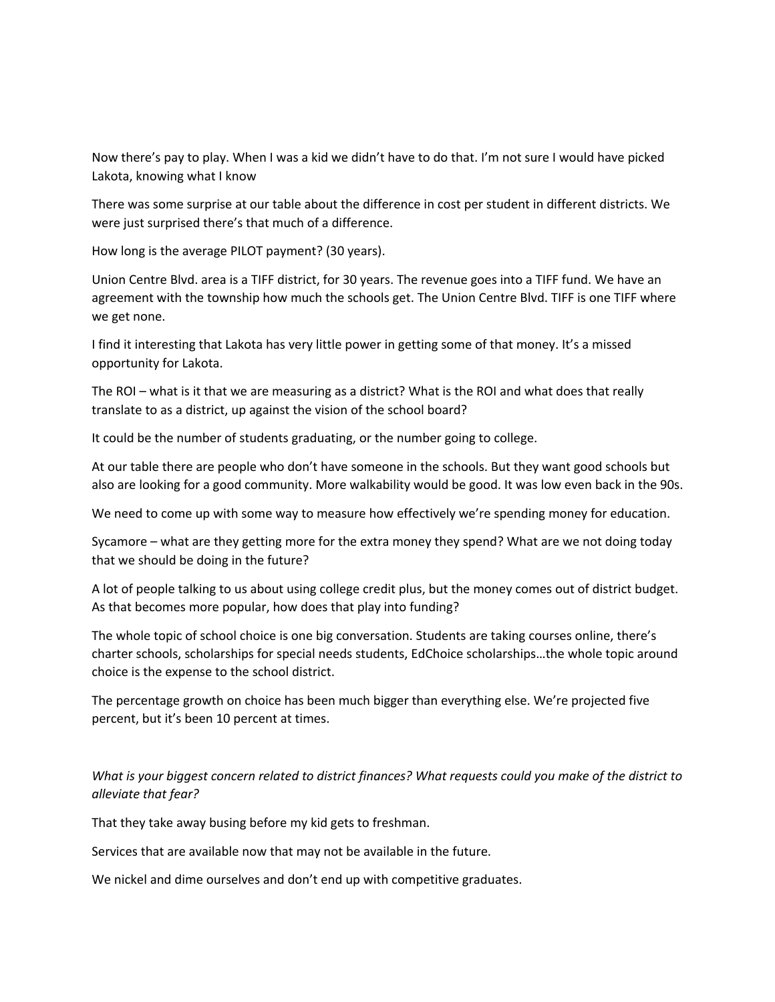Now there's pay to play. When I was a kid we didn't have to do that. I'm not sure I would have picked Lakota, knowing what I know

There was some surprise at our table about the difference in cost per student in different districts. We were just surprised there's that much of a difference.

How long is the average PILOT payment? (30 years).

Union Centre Blvd. area is a TIFF district, for 30 years. The revenue goes into a TIFF fund. We have an agreement with the township how much the schools get. The Union Centre Blvd. TIFF is one TIFF where we get none.

I find it interesting that Lakota has very little power in getting some of that money. It's a missed opportunity for Lakota.

The ROI – what is it that we are measuring as a district? What is the ROI and what does that really translate to as a district, up against the vision of the school board?

It could be the number of students graduating, or the number going to college.

At our table there are people who don't have someone in the schools. But they want good schools but also are looking for a good community. More walkability would be good. It was low even back in the 90s.

We need to come up with some way to measure how effectively we're spending money for education.

Sycamore – what are they getting more for the extra money they spend? What are we not doing today that we should be doing in the future?

A lot of people talking to us about using college credit plus, but the money comes out of district budget. As that becomes more popular, how does that play into funding?

The whole topic of school choice is one big conversation. Students are taking courses online, there's charter schools, scholarships for special needs students, EdChoice scholarships…the whole topic around choice is the expense to the school district.

The percentage growth on choice has been much bigger than everything else. We're projected five percent, but it's been 10 percent at times.

## *What is your biggest concern related to district finances? What requests could you make of the district to alleviate that fear?*

That they take away busing before my kid gets to freshman.

Services that are available now that may not be available in the future.

We nickel and dime ourselves and don't end up with competitive graduates.